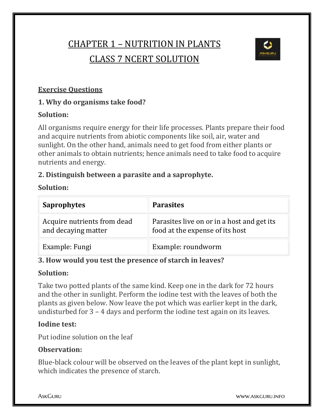# CHAPTER 1 – NUTRITION IN PLANTS CLASS 7 NCERT SOLUTION



### **Exercise Questions**

### **1. Why do organisms take food?**

#### **Solution:**

All organisms require energy for their life processes. Plants prepare their food and acquire nutrients from abiotic components like soil, air, water and sunlight. On the other hand, animals need to get food from either plants or other animals to obtain nutrients; hence animals need to take food to acquire nutrients and energy.

#### **2. Distinguish between a parasite and a saprophyte.**

#### **Solution:**

| <b>Saprophytes</b>                                 | <b>Parasites</b>                                                              |
|----------------------------------------------------|-------------------------------------------------------------------------------|
| Acquire nutrients from dead<br>and decaying matter | Parasites live on or in a host and get its<br>food at the expense of its host |
| Example: Fungi                                     | Example: roundworm                                                            |

#### **3. How would you test the presence of starch in leaves?**

#### **Solution:**

Take two potted plants of the same kind. Keep one in the dark for 72 hours and the other in sunlight. Perform the iodine test with the leaves of both the plants as given below. Now leave the pot which was earlier kept in the dark, undisturbed for 3 – 4 days and perform the iodine test again on its leaves.

#### **Iodine test:**

Put iodine solution on the leaf

#### **Observation:**

Blue-black colour will be observed on the leaves of the plant kept in sunlight, which indicates the presence of starch.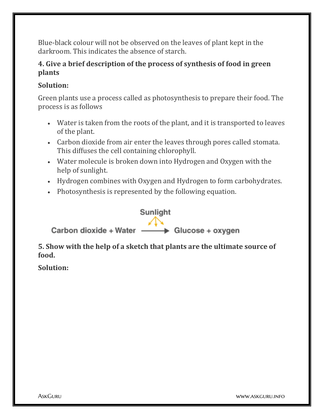Blue-black colour will not be observed on the leaves of plant kept in the darkroom. This indicates the absence of starch.

#### **4. Give a brief description of the process of synthesis of food in green plants**

#### **Solution:**

Green plants use a process called as photosynthesis to prepare their food. The process is as follows

- Water is taken from the roots of the plant, and it is transported to leaves of the plant.
- Carbon dioxide from air enter the leaves through pores called stomata. This diffuses the cell containing chlorophyll.
- Water molecule is broken down into Hydrogen and Oxygen with the help of sunlight.
- Hydrogen combines with Oxygen and Hydrogen to form carbohydrates.
- Photosynthesis is represented by the following equation.



**5. Show with the help of a sketch that plants are the ultimate source of food.**

**Solution:**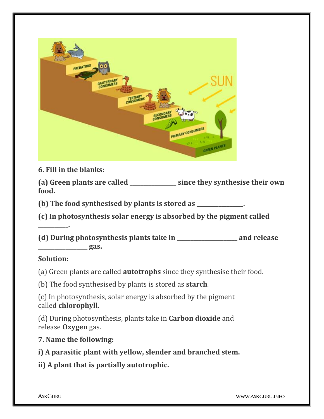

**6. Fill in the blanks:**

**(a) Green plants are called \_\_\_\_\_\_\_\_\_\_\_\_\_\_\_\_\_ since they synthesise their own food.**

**(b) The food synthesised by plants is stored as \_\_\_\_\_\_\_\_\_\_\_\_\_\_\_\_\_.**

**(c) In photosynthesis solar energy is absorbed by the pigment called** 

**(d) During photosynthesis plants take in \_\_\_\_\_\_\_\_\_\_\_\_\_\_\_\_\_\_\_\_\_\_ and release \_\_\_\_\_\_\_\_\_\_\_\_\_\_\_\_\_\_ gas.**

#### **Solution:**

**\_\_\_\_\_\_\_\_\_\_\_.**

(a) Green plants are called **autotrophs** since they synthesise their food.

(b) The food synthesised by plants is stored as **starch**.

(c) In photosynthesis, solar energy is absorbed by the pigment called **chlorophyll.**

(d) During photosynthesis, plants take in **Carbon dioxide** and release **Oxygen** gas.

**7. Name the following:**

**i) A parasitic plant with yellow, slender and branched stem.**

**ii) A plant that is partially autotrophic.**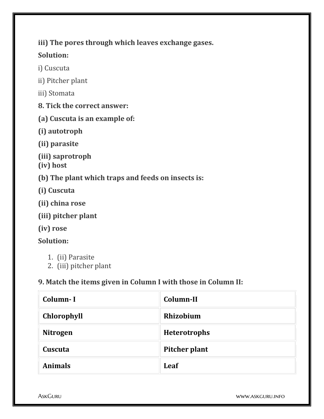**iii) The pores through which leaves exchange gases.**

#### **Solution:**

- i) Cuscuta
- ii) Pitcher plant
- iii) Stomata
- **8. Tick the correct answer:**
- **(a) Cuscuta is an example of:**
- **(i) autotroph**
- **(ii) parasite**
- **(iii) saprotroph (iv) host**
- **(b) The plant which traps and feeds on insects is:**
- **(i) Cuscuta**
- **(ii) china rose**
- **(iii) pitcher plant**
- **(iv) rose**

## **Solution:**

- 1. (ii) Parasite
- 2. (iii) pitcher plant

## **9. Match the items given in Column I with those in Column II:**

| Column-I           | Column-II           |
|--------------------|---------------------|
| <b>Chlorophyll</b> | Rhizobium           |
| <b>Nitrogen</b>    | <b>Heterotrophs</b> |
| Cuscuta            | Pitcher plant       |
| <b>Animals</b>     | Leaf                |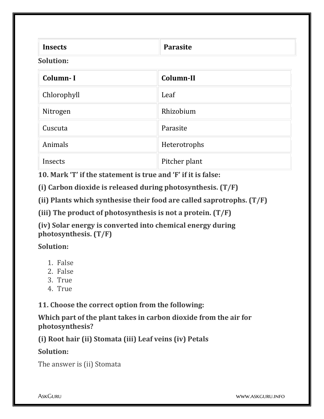| <b>Insects</b>   | <b>Parasite</b> |  |
|------------------|-----------------|--|
| <b>Solution:</b> |                 |  |

| Column-I    | Column-II     |
|-------------|---------------|
| Chlorophyll | Leaf          |
| Nitrogen    | Rhizobium     |
| Cuscuta     | Parasite      |
| Animals     | Heterotrophs  |
| Insects     | Pitcher plant |

**10. Mark 'T' if the statement is true and 'F' if it is false:**

**(i) Carbon dioxide is released during photosynthesis. (T/F)**

**(ii) Plants which synthesise their food are called saprotrophs. (T/F)**

**(iii) The product of photosynthesis is not a protein. (T/F)**

**(iv) Solar energy is converted into chemical energy during photosynthesis. (T/F)**

**Solution:**

- 1. False
- 2. False
- 3. True
- 4. True

**11. Choose the correct option from the following:**

**Which part of the plant takes in carbon dioxide from the air for photosynthesis?**

**(i) Root hair (ii) Stomata (iii) Leaf veins (iv) Petals**

**Solution:**

The answer is (ii) Stomata